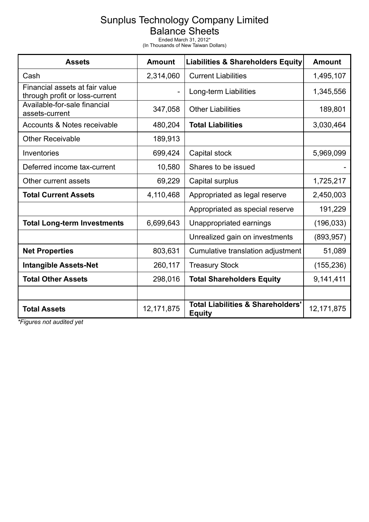## Sunplus Technology Company Limited

Balance Sheets

Ended March 31, 2012\* (In Thousands of New Taiwan Dollars)

| <b>Assets</b>                                                    | <b>Amount</b> | <b>Liabilities &amp; Shareholders Equity</b>                  | <b>Amount</b> |
|------------------------------------------------------------------|---------------|---------------------------------------------------------------|---------------|
| Cash                                                             | 2,314,060     | <b>Current Liabilities</b>                                    | 1,495,107     |
| Financial assets at fair value<br>through profit or loss-current |               | Long-term Liabilities                                         | 1,345,556     |
| Available-for-sale financial<br>assets-current                   | 347,058       | <b>Other Liabilities</b>                                      | 189,801       |
| Accounts & Notes receivable                                      | 480,204       | <b>Total Liabilities</b>                                      | 3,030,464     |
| <b>Other Receivable</b>                                          | 189,913       |                                                               |               |
| Inventories                                                      | 699,424       | Capital stock                                                 | 5,969,099     |
| Deferred income tax-current                                      | 10,580        | Shares to be issued                                           |               |
| Other current assets                                             | 69,229        | Capital surplus                                               | 1,725,217     |
| <b>Total Current Assets</b>                                      | 4,110,468     | Appropriated as legal reserve                                 | 2,450,003     |
|                                                                  |               | Appropriated as special reserve                               | 191,229       |
| <b>Total Long-term Investments</b>                               | 6,699,643     | Unappropriated earnings                                       | (196, 033)    |
|                                                                  |               | Unrealized gain on investments                                | (893, 957)    |
| <b>Net Properties</b>                                            | 803,631       | Cumulative translation adjustment                             | 51,089        |
| <b>Intangible Assets-Net</b>                                     | 260,117       | <b>Treasury Stock</b>                                         | (155, 236)    |
| <b>Total Other Assets</b>                                        | 298,016       | <b>Total Shareholders Equity</b>                              | 9,141,411     |
|                                                                  |               |                                                               |               |
| <b>Total Assets</b>                                              | 12, 171, 875  | <b>Total Liabilities &amp; Shareholders'</b><br><b>Equity</b> | 12, 171, 875  |

*\*Figures not audited yet*